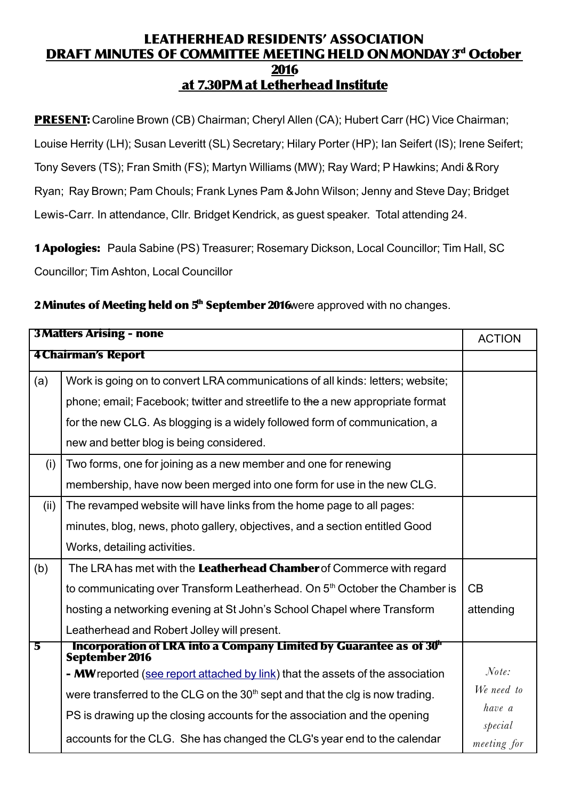## LEATHERHEAD RESIDENTS' ASSOCIATION <u>DRAFT MINUTES OF COMMITTEE MEETING HELD ON MONDAY 3<sup>d</sup> October</u> 2016 at 7.30PMat Letherhead Institute

PRESENT: Caroline Brown (CB) Chairman; Cheryl Allen (CA); Hubert Carr (HC) Vice Chairman; Louise Herrity (LH); Susan Leveritt (SL) Secretary; Hilary Porter (HP); Ian Seifert (IS); Irene Seifert; Tony Severs (TS); Fran Smith (FS); Martyn Williams (MW); Ray Ward; P Hawkins; Andi & Rory Ryan; Ray Brown; Pam Chouls; Frank Lynes Pam & John Wilson; Jenny and Steve Day; Bridget Lewis-Carr. In attendance, Cllr. Bridget Kendrick, as guest speaker. Total attending 24.

1 Apologies: Paula Sabine (PS) Treasurer; Rosemary Dickson, Local Councillor; Tim Hall, SC Councillor; Tim Ashton, Local Councillor

|  | 2 Minutes of Meeting held on 5 <sup>th</sup> September 2016 were approved with no changes. |
|--|--------------------------------------------------------------------------------------------|
|  |                                                                                            |

| <b>3 Matters Arising - none</b> |                                                                                                   | <b>ACTION</b>          |
|---------------------------------|---------------------------------------------------------------------------------------------------|------------------------|
| <b>4 Chairman's Report</b>      |                                                                                                   |                        |
| (a)                             | Work is going on to convert LRA communications of all kinds: letters; website;                    |                        |
|                                 | phone; email; Facebook; twitter and streetlife to the a new appropriate format                    |                        |
|                                 | for the new CLG. As blogging is a widely followed form of communication, a                        |                        |
|                                 | new and better blog is being considered.                                                          |                        |
| (i)                             | Two forms, one for joining as a new member and one for renewing                                   |                        |
|                                 | membership, have now been merged into one form for use in the new CLG.                            |                        |
| (ii)                            | The revamped website will have links from the home page to all pages:                             |                        |
|                                 | minutes, blog, news, photo gallery, objectives, and a section entitled Good                       |                        |
|                                 | Works, detailing activities.                                                                      |                        |
| (b)                             | The LRA has met with the Leatherhead Chamber of Commerce with regard                              |                        |
|                                 | to communicating over Transform Leatherhead. On 5 <sup>th</sup> October the Chamber is            | CB                     |
|                                 | hosting a networking evening at St John's School Chapel where Transform                           | attending              |
|                                 | Leatherhead and Robert Jolley will present.                                                       |                        |
| 5                               | Incorporation of LRA into a Company Limited by Guarantee as of 30 <sup>th</sup><br>September 2016 |                        |
|                                 | - MW reported (see report attached by link) that the assets of the association                    | Note:                  |
|                                 | were transferred to the CLG on the $30th$ sept and that the cig is now trading.                   | We need to             |
|                                 | PS is drawing up the closing accounts for the association and the opening                         | have a                 |
|                                 | accounts for the CLG. She has changed the CLG's year end to the calendar                          | special<br>meeting for |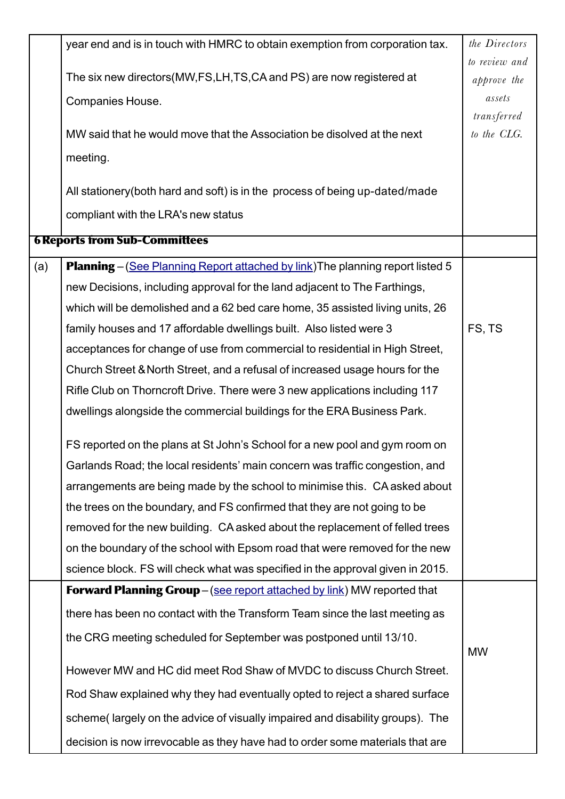| to review and<br>The six new directors(MW,FS,LH,TS,CA and PS) are now registered at<br>approve the<br>assets<br>Companies House.<br>transferred<br>MW said that he would move that the Association be disolved at the next<br>to the CLG.<br>meeting.<br>All stationery (both hard and soft) is in the process of being up-dated/made<br>compliant with the LRA's new status<br><b>6 Reports from Sub-Committees</b><br>(a)<br><b>Planning</b> – (See Planning Report attached by link) The planning report listed 5<br>new Decisions, including approval for the land adjacent to The Farthings,<br>which will be demolished and a 62 bed care home, 35 assisted living units, 26 |
|------------------------------------------------------------------------------------------------------------------------------------------------------------------------------------------------------------------------------------------------------------------------------------------------------------------------------------------------------------------------------------------------------------------------------------------------------------------------------------------------------------------------------------------------------------------------------------------------------------------------------------------------------------------------------------|
|                                                                                                                                                                                                                                                                                                                                                                                                                                                                                                                                                                                                                                                                                    |
|                                                                                                                                                                                                                                                                                                                                                                                                                                                                                                                                                                                                                                                                                    |
|                                                                                                                                                                                                                                                                                                                                                                                                                                                                                                                                                                                                                                                                                    |
|                                                                                                                                                                                                                                                                                                                                                                                                                                                                                                                                                                                                                                                                                    |
|                                                                                                                                                                                                                                                                                                                                                                                                                                                                                                                                                                                                                                                                                    |
|                                                                                                                                                                                                                                                                                                                                                                                                                                                                                                                                                                                                                                                                                    |
|                                                                                                                                                                                                                                                                                                                                                                                                                                                                                                                                                                                                                                                                                    |
|                                                                                                                                                                                                                                                                                                                                                                                                                                                                                                                                                                                                                                                                                    |
|                                                                                                                                                                                                                                                                                                                                                                                                                                                                                                                                                                                                                                                                                    |
|                                                                                                                                                                                                                                                                                                                                                                                                                                                                                                                                                                                                                                                                                    |
|                                                                                                                                                                                                                                                                                                                                                                                                                                                                                                                                                                                                                                                                                    |
|                                                                                                                                                                                                                                                                                                                                                                                                                                                                                                                                                                                                                                                                                    |
| FS, TS<br>family houses and 17 affordable dwellings built. Also listed were 3                                                                                                                                                                                                                                                                                                                                                                                                                                                                                                                                                                                                      |
| acceptances for change of use from commercial to residential in High Street,                                                                                                                                                                                                                                                                                                                                                                                                                                                                                                                                                                                                       |
| Church Street & North Street, and a refusal of increased usage hours for the                                                                                                                                                                                                                                                                                                                                                                                                                                                                                                                                                                                                       |
| Rifle Club on Thorncroft Drive. There were 3 new applications including 117                                                                                                                                                                                                                                                                                                                                                                                                                                                                                                                                                                                                        |
| dwellings alongside the commercial buildings for the ERA Business Park.                                                                                                                                                                                                                                                                                                                                                                                                                                                                                                                                                                                                            |
| FS reported on the plans at St John's School for a new pool and gym room on                                                                                                                                                                                                                                                                                                                                                                                                                                                                                                                                                                                                        |
| Garlands Road; the local residents' main concern was traffic congestion, and                                                                                                                                                                                                                                                                                                                                                                                                                                                                                                                                                                                                       |
| arrangements are being made by the school to minimise this. CA asked about                                                                                                                                                                                                                                                                                                                                                                                                                                                                                                                                                                                                         |
| the trees on the boundary, and FS confirmed that they are not going to be                                                                                                                                                                                                                                                                                                                                                                                                                                                                                                                                                                                                          |
| removed for the new building. CA asked about the replacement of felled trees                                                                                                                                                                                                                                                                                                                                                                                                                                                                                                                                                                                                       |
| on the boundary of the school with Epsom road that were removed for the new                                                                                                                                                                                                                                                                                                                                                                                                                                                                                                                                                                                                        |
| science block. FS will check what was specified in the approval given in 2015.                                                                                                                                                                                                                                                                                                                                                                                                                                                                                                                                                                                                     |
| <b>Forward Planning Group</b> – (see report attached by link) MW reported that                                                                                                                                                                                                                                                                                                                                                                                                                                                                                                                                                                                                     |
| there has been no contact with the Transform Team since the last meeting as                                                                                                                                                                                                                                                                                                                                                                                                                                                                                                                                                                                                        |
| the CRG meeting scheduled for September was postponed until 13/10.                                                                                                                                                                                                                                                                                                                                                                                                                                                                                                                                                                                                                 |
| <b>MW</b><br>However MW and HC did meet Rod Shaw of MVDC to discuss Church Street.                                                                                                                                                                                                                                                                                                                                                                                                                                                                                                                                                                                                 |
| Rod Shaw explained why they had eventually opted to reject a shared surface                                                                                                                                                                                                                                                                                                                                                                                                                                                                                                                                                                                                        |
| scheme (largely on the advice of visually impaired and disability groups). The                                                                                                                                                                                                                                                                                                                                                                                                                                                                                                                                                                                                     |
| decision is now irrevocable as they have had to order some materials that are                                                                                                                                                                                                                                                                                                                                                                                                                                                                                                                                                                                                      |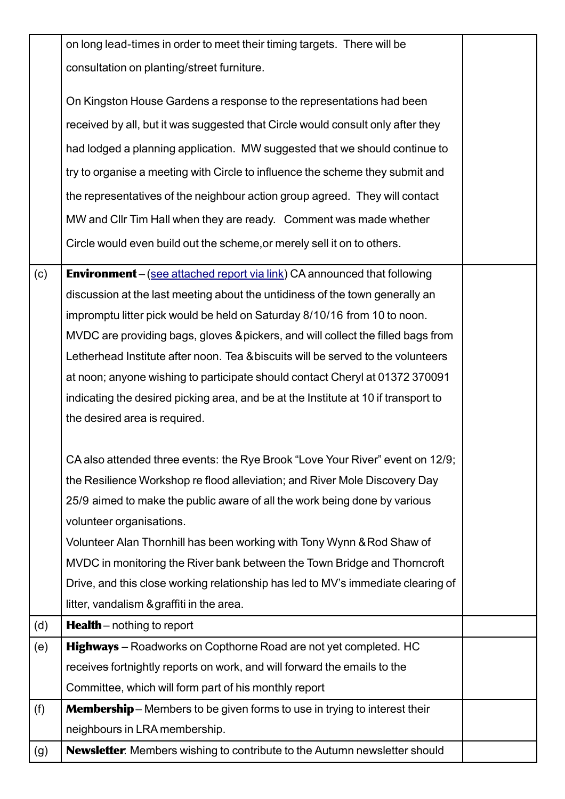|     | on long lead-times in order to meet their timing targets. There will be            |  |
|-----|------------------------------------------------------------------------------------|--|
|     | consultation on planting/street furniture.                                         |  |
|     |                                                                                    |  |
|     | On Kingston House Gardens a response to the representations had been               |  |
|     | received by all, but it was suggested that Circle would consult only after they    |  |
|     | had lodged a planning application. MW suggested that we should continue to         |  |
|     | try to organise a meeting with Circle to influence the scheme they submit and      |  |
|     | the representatives of the neighbour action group agreed. They will contact        |  |
|     | MW and CIIr Tim Hall when they are ready. Comment was made whether                 |  |
|     | Circle would even build out the scheme, or merely sell it on to others.            |  |
| (c) | <b>Environment</b> – (see attached report via link) CA announced that following    |  |
|     | discussion at the last meeting about the untidiness of the town generally an       |  |
|     | impromptu litter pick would be held on Saturday 8/10/16 from 10 to noon.           |  |
|     | MVDC are providing bags, gloves & pickers, and will collect the filled bags from   |  |
|     | Letherhead Institute after noon. Tea & biscuits will be served to the volunteers   |  |
|     | at noon; anyone wishing to participate should contact Cheryl at 01372 370091       |  |
|     | indicating the desired picking area, and be at the Institute at 10 if transport to |  |
|     | the desired area is required.                                                      |  |
|     |                                                                                    |  |
|     | CA also attended three events: the Rye Brook "Love Your River" event on 12/9;      |  |
|     | the Resilience Workshop re flood alleviation; and River Mole Discovery Day         |  |
|     | 25/9 aimed to make the public aware of all the work being done by various          |  |
|     | volunteer organisations.                                                           |  |
|     | Volunteer Alan Thornhill has been working with Tony Wynn & Rod Shaw of             |  |
|     | MVDC in monitoring the River bank between the Town Bridge and Thorncroft           |  |
|     | Drive, and this close working relationship has led to MV's immediate clearing of   |  |
|     | litter, vandalism & graffiti in the area.                                          |  |
| (d) | <b>Health</b> – nothing to report                                                  |  |
| (e) | <b>Highways</b> – Roadworks on Copthorne Road are not yet completed. HC            |  |
|     | receives fort nightly reports on work, and will forward the emails to the          |  |
|     | Committee, which will form part of his monthly report                              |  |
| (f) | <b>Membership</b> – Members to be given forms to use in trying to interest their   |  |
|     | neighbours in LRA membership.                                                      |  |
| (g) | <b>Newsletter</b> . Members wishing to contribute to the Autumn newsletter should  |  |